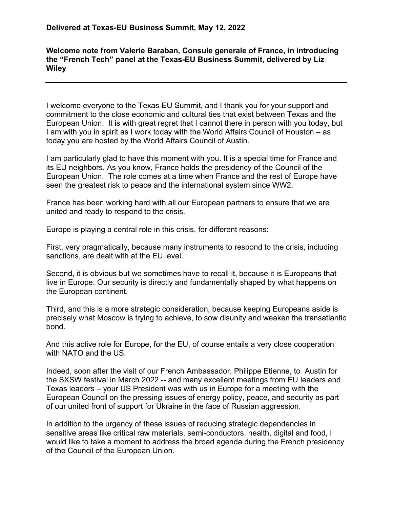## **Welcome note from Valerie Baraban, Consule generale of France, in introducing the "French Tech" panel at the Texas-EU Business Summit, delivered by Liz Wiley**

I welcome everyone to the Texas-EU Summit, and I thank you for your support and commitment to the close economic and cultural ties that exist between Texas and the European Union. It is with great regret that I cannot there in person with you today, but I am with you in spirit as I work today with the World Affairs Council of Houston – as today you are hosted by the World Affairs Council of Austin.

I am particularly glad to have this moment with you. It is a special time for France and its EU neighbors. As you know, France holds the presidency of the Council of the European Union. The role comes at a time when France and the rest of Europe have seen the greatest risk to peace and the international system since WW2.

France has been working hard with all our European partners to ensure that we are united and ready to respond to the crisis.

Europe is playing a central role in this crisis, for different reasons:

First, very pragmatically, because many instruments to respond to the crisis, including sanctions, are dealt with at the EU level.

Second, it is obvious but we sometimes have to recall it, because it is Europeans that live in Europe. Our security is directly and fundamentally shaped by what happens on the European continent.

Third, and this is a more strategic consideration, because keeping Europeans aside is precisely what Moscow is trying to achieve, to sow disunity and weaken the transatlantic bond.

And this active role for Europe, for the EU, of course entails a very close cooperation with NATO and the US.

Indeed, soon after the visit of our French Ambassador, Philippe Etienne, to Austin for the SXSW festival in March 2022 -- and many excellent meetings from EU leaders and Texas leaders – your US President was with us in Europe for a meeting with the European Council on the pressing issues of energy policy, peace, and security as part of our united front of support for Ukraine in the face of Russian aggression.

In addition to the urgency of these issues of reducing strategic dependencies in sensitive areas like critical raw materials, semi-conductors, health, digital and food, I would like to take a moment to address the broad agenda during the French presidency of the Council of the European Union.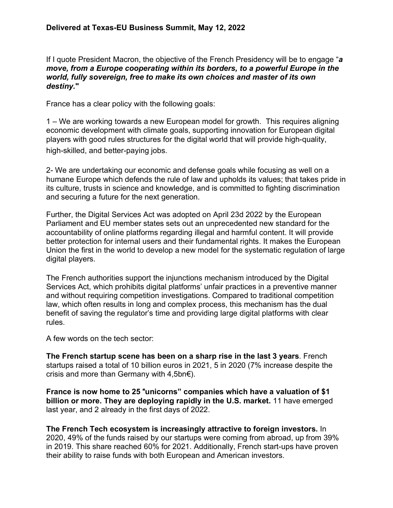If I quote President Macron, the objective of the French Presidency will be to engage "*a move, from a Europe cooperating within its borders, to a powerful Europe in the world, fully sovereign, free to make its own choices and master of its own destiny.***"**

France has a clear policy with the following goals:

1 – We are working towards a new European model for growth. This requires aligning economic development with climate goals, supporting innovation for European digital players with good rules structures for the digital world that will provide high-quality, high-skilled, and better-paying jobs.

2- We are undertaking our economic and defense goals while focusing as well on a humane Europe which defends the rule of law and upholds its values; that takes pride in its culture, trusts in science and knowledge, and is committed to fighting discrimination and securing a future for the next generation.

Further, the Digital Services Act was adopted on April 23d 2022 by the European Parliament and EU member states sets out an unprecedented new standard for the accountability of online platforms regarding illegal and harmful content. It will provide better protection for internal users and their fundamental rights. It makes the European Union the first in the world to develop a new model for the systematic regulation of large digital players.

The French authorities support the injunctions mechanism introduced by the Digital Services Act, which prohibits digital platforms' unfair practices in a preventive manner and without requiring competition investigations. Compared to traditional competition law, which often results in long and complex process, this mechanism has the dual benefit of saving the regulator's time and providing large digital platforms with clear rules.

A few words on the tech sector:

**The French startup scene has been on a sharp rise in the last 3 years**. French startups raised a total of 10 billion euros in 2021, 5 in 2020 (7% increase despite the crisis and more than Germany with 4,5bn€).

**France is now home to 25** "**unicorns" companies which have a valuation of \$1 billion or more. They are deploying rapidly in the U.S. market.** 11 have emerged last year, and 2 already in the first days of 2022.

**The French Tech ecosystem is increasingly attractive to foreign investors.** In 2020, 49% of the funds raised by our startups were coming from abroad, up from 39% in 2019. This share reached 60% for 2021. Additionally, French start-ups have proven their ability to raise funds with both European and American investors.